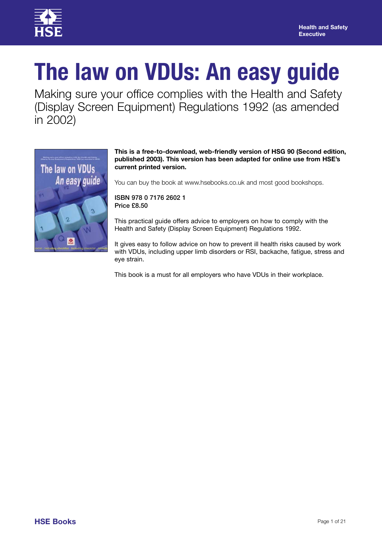

# **The law on VDUs: An easy guide**

Making sure your office complies with the Health and Safety (Display Screen Equipment) Regulations 1992 (as amended in 2002)



### **This is a free-to-download, web-friendly version of HSG 90 (Second edition, published 2003). This version has been adapted for online use from HSE's current printed version.**

You can buy the book at www.hsebooks.co.uk and most good bookshops.

ISBN 978 0 7176 2602 1 Price £8.50

This practical guide offers advice to employers on how to comply with the Health and Safety (Display Screen Equipment) Regulations 1992.

It gives easy to follow advice on how to prevent ill health risks caused by work with VDUs, including upper limb disorders or RSI, backache, fatigue, stress and eye strain.

This book is a must for all employers who have VDUs in their workplace.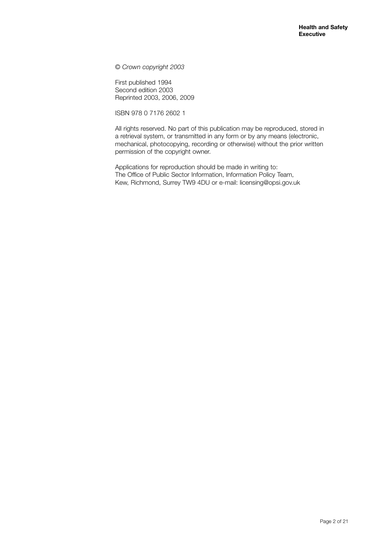© *Crown copyright 2003*

First published 1994 Second edition 2003 Reprinted 2003, 2006, 2009

ISBN 978 0 7176 2602 1

All rights reserved. No part of this publication may be reproduced, stored in a retrieval system, or transmitted in any form or by any means (electronic, mechanical, photocopying, recording or otherwise) without the prior written permission of the copyright owner.

Applications for reproduction should be made in writing to: The Office of Public Sector Information, Information Policy Team, Kew, Richmond, Surrey TW9 4DU or e-mail: licensing@opsi.gov.uk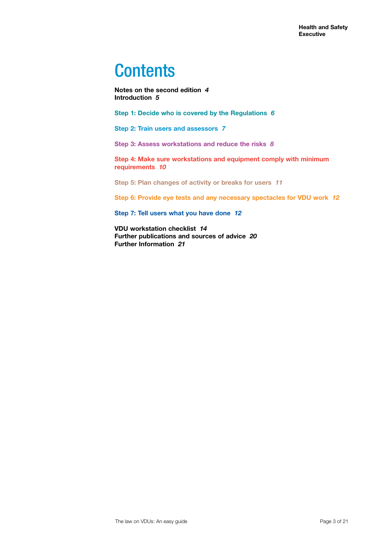# **Contents**

**Notes on the second edition** *4* **Introduction** *5*

**Step 1: Decide who is covered by the Regulations** *6*

**Step 2: Train users and assessors** *7*

**Step 3: Assess workstations and reduce the risks** *8*

**Step 4: Make sure workstations and equipment comply with minimum requirements** *10*

**Step 5: Plan changes of activity or breaks for users** *11*

**Step 6: Provide eye tests and any necessary spectacles for VDU work** *12*

**Step 7: Tell users what you have done** *12*

**VDU workstation checklist** *14* **Further publications and sources of advice** *20* **Further Information** *21*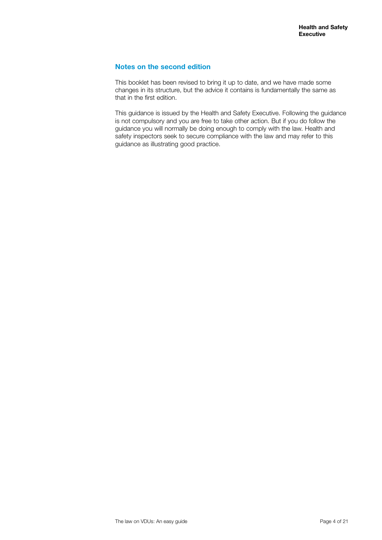### **Notes on the second edition**

This booklet has been revised to bring it up to date, and we have made some changes in its structure, but the advice it contains is fundamentally the same as that in the first edition.

This guidance is issued by the Health and Safety Executive. Following the guidance is not compulsory and you are free to take other action. But if you do follow the guidance you will normally be doing enough to comply with the law. Health and safety inspectors seek to secure compliance with the law and may refer to this guidance as illustrating good practice.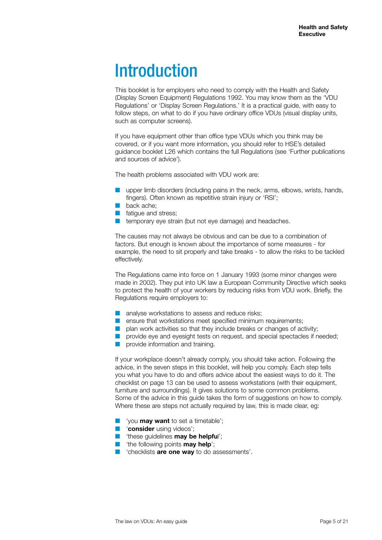# **Introduction**

This booklet is for employers who need to comply with the Health and Safety (Display Screen Equipment) Regulations 1992. You may know them as the 'VDU Regulations' or 'Display Screen Regulations.' It is a practical guide, with easy to follow steps, on what to do if you have ordinary office VDUs (visual display units, such as computer screens).

If you have equipment other than office type VDUs which you think may be covered, or if you want more information, you should refer to HSE's detailed guidance booklet L26 which contains the full Regulations (see 'Further publications and sources of advice').

The health problems associated with VDU work are:

- **■** upper limb disorders (including pains in the neck, arms, elbows, wrists, hands, fingers). Often known as repetitive strain injury or 'RSI';
- back ache:
- fatique and stress;
- temporary eye strain (but not eye damage) and headaches.

The causes may not always be obvious and can be due to a combination of factors. But enough is known about the importance of some measures - for example, the need to sit properly and take breaks - to allow the risks to be tackled effectively.

The Regulations came into force on 1 January 1993 (some minor changes were made in 2002). They put into UK law a European Community Directive which seeks to protect the health of your workers by reducing risks from VDU work. Briefly, the Regulations require employers to:

- analyse workstations to assess and reduce risks;
- ensure that workstations meet specified minimum requirements;
- plan work activities so that they include breaks or changes of activity;
- provide eye and eyesight tests on request, and special spectacles if needed;
- provide information and training.

If your workplace doesn't already comply, you should take action. Following the advice, in the seven steps in this booklet, will help you comply. Each step tells you what you have to do and offers advice about the easiest ways to do it. The checklist on page 13 can be used to assess workstations (with their equipment, furniture and surroundings). It gives solutions to some common problems. Some of the advice in this quide takes the form of suggestions on how to comply. Where these are steps not actually required by law, this is made clear, eq:

- **E** 'vou **may want** to set a timetable':
- **T** '**consider** using videos';
- 'these guidelines **may be helpfu**l';
- the following points **may help'**;
- 'checklists **are one way** to do assessments'.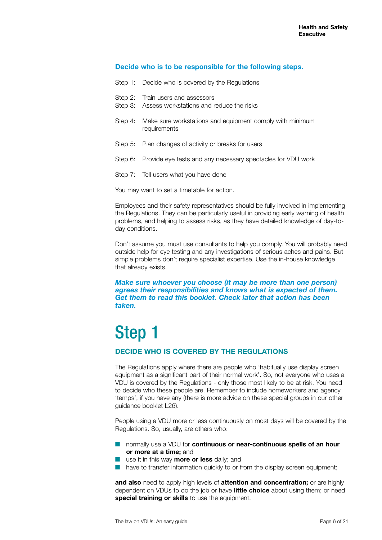### **Decide who is to be responsible for the following steps.**

- Step 1: Decide who is covered by the Regulations
- Step 2: Train users and assessors
- Step 3: Assess workstations and reduce the risks
- Step 4: Make sure workstations and equipment comply with minimum requirements
- Step 5: Plan changes of activity or breaks for users
- Step 6: Provide eye tests and any necessary spectacles for VDU work
- Step 7: Tell users what you have done

You may want to set a timetable for action.

Employees and their safety representatives should be fully involved in implementing the Regulations. They can be particularly useful in providing early warning of health problems, and helping to assess risks, as they have detailed knowledge of day-today conditions.

Don't assume you must use consultants to help you comply. You will probably need outside help for eye testing and any investigations of serious aches and pains. But simple problems don't require specialist expertise. Use the in-house knowledge that already exists.

*Make sure whoever you choose (it may be more than one person) agrees their responsibilities and knows what is expected of them. Get them to read this booklet. Check later that action has been taken.*

# Step 1

### **DECIDE WHO IS COVERED BY THE REGULATIONS**

The Regulations apply where there are people who 'habitually use display screen equipment as a significant part of their normal work'. So, not everyone who uses a VDU is covered by the Regulations - only those most likely to be at risk. You need to decide who these people are. Remember to include homeworkers and agency 'temps', if you have any (there is more advice on these special groups in our other guidance booklet L26).

People using a VDU more or less continuously on most days will be covered by the Regulations. So, usually, are others who:

- normally use a VDU for **continuous or near-continuous spells of an hour or more at a time;** and
- use it in this way **more or less** daily; and
- have to transfer information quickly to or from the display screen equipment;

**and also** need to apply high levels of **attention and concentration;** or are highly dependent on VDUs to do the job or have **little choice** about using them; or need **special training or skills** to use the equipment.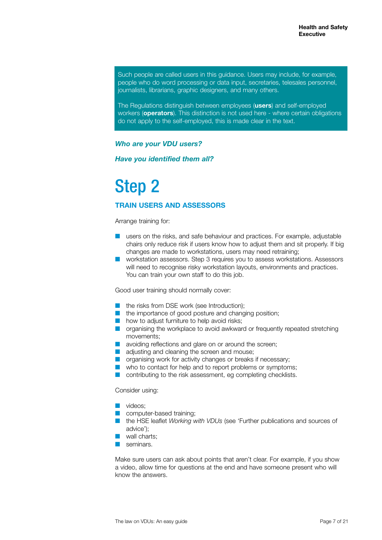Such people are called users in this guidance. Users may include, for example, people who do word processing or data input, secretaries, telesales personnel, journalists, librarians, graphic designers, and many others.

The Regulations distinguish between employees (**users**) and self-employed workers (**operators**). This distinction is not used here - where certain obligations do not apply to the self-employed, this is made clear in the text.

### *Who are your VDU users?*

*Have you identified them all?* 

# Step 2

# **TRAIN USERS AND ASSESSORS**

Arrange training for:

- users on the risks, and safe behaviour and practices. For example, adjustable chairs only reduce risk if users know how to adjust them and sit properly. If big changes are made to workstations, users may need retraining;
- workstation assessors. Step 3 requires you to assess workstations. Assessors will need to recognise risky workstation layouts, environments and practices. You can train your own staff to do this job.

Good user training should normally cover:

- the risks from DSE work (see Introduction):
- the importance of good posture and changing position:
- how to adjust furniture to help avoid risks:
- organising the workplace to avoid awkward or frequently repeated stretching movements;
- avoiding reflections and glare on or around the screen;
- adjusting and cleaning the screen and mouse;
- organising work for activity changes or breaks if necessary;
- who to contact for help and to report problems or symptoms:
- contributing to the risk assessment, eg completing checklists.

Consider using:

- videos;
- computer-based training:
- the HSE leaflet *Working with VDUs* (see 'Further publications and sources of advice');
- wall charts:
- seminars.

Make sure users can ask about points that aren't clear. For example, if you show a video, allow time for questions at the end and have someone present who will know the answers.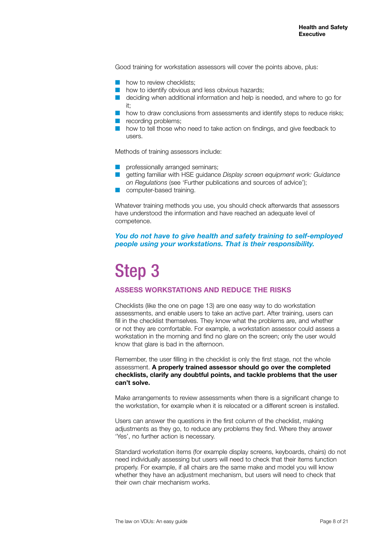Good training for workstation assessors will cover the points above, plus:

- how to review checklists:
- how to identify obvious and less obvious hazards;
- deciding when additional information and help is needed, and where to go for it;
- how to draw conclusions from assessments and identify steps to reduce risks;
- recording problems;
- how to tell those who need to take action on findings, and give feedback to users.

Methods of training assessors include:

- **■** professionally arranged seminars;
- getting familiar with HSE guidance *Display screen equipment work: Guidance on Regulations* (see 'Further publications and sources of advice');
- computer-based training.

Whatever training methods you use, you should check afterwards that assessors have understood the information and have reached an adequate level of competence.

*You do not have to give health and safety training to self-employed people using your workstations. That is their responsibility.*

# Step 3

### **ASSESS WORKSTATIONS AND REDUCE THE RISKS**

Checklists (like the one on page 13) are one easy way to do workstation assessments, and enable users to take an active part. After training, users can fill in the checklist themselves. They know what the problems are, and whether or not they are comfortable. For example, a workstation assessor could assess a workstation in the morning and find no glare on the screen; only the user would know that glare is bad in the afternoon.

Remember, the user filling in the checklist is only the first stage, not the whole assessment. **A properly trained assessor should go over the completed checklists, clarify any doubtful points, and tackle problems that the user can't solve.**

Make arrangements to review assessments when there is a significant change to the workstation, for example when it is relocated or a different screen is installed.

Users can answer the questions in the first column of the checklist, making adjustments as they go, to reduce any problems they find. Where they answer 'Yes', no further action is necessary.

Standard workstation items (for example display screens, keyboards, chairs) do not need individually assessing but users will need to check that their items function properly. For example, if all chairs are the same make and model you will know whether they have an adjustment mechanism, but users will need to check that their own chair mechanism works.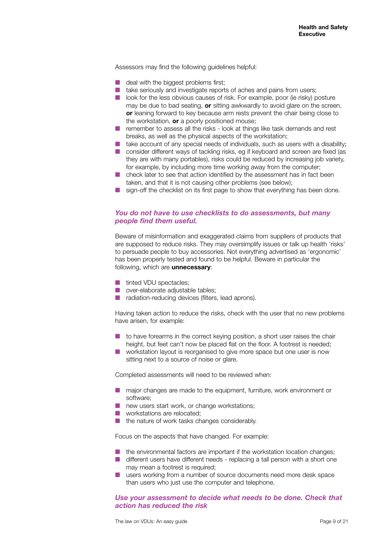Assessors may find the following guidelines helpful:

- deal with the biggest problems first;
- take seriously and investigate reports of aches and pains from users;
- look for the less obvious causes of risk. For example, poor (ie risky) posture may be due to bad seating, **or** sitting awkwardly to avoid glare on the screen, **or** leaning forward to key because arm rests prevent the chair being close to the workstation, **or** a poorly positioned mouse;
- remember to assess all the risks look at things like task demands and rest breaks, as well as the physical aspects of the workstation;
- take account of any special needs of individuals, such as users with a disability;
- consider different ways of tackling risks, eg if keyboard and screen are fixed (as they are with many portables), risks could be reduced by increasing job variety, for example, by including more time working away from the computer;
- check later to see that action identified by the assessment has in fact been taken, and that it is not causing other problems (see below);
- sign-off the checklist on its first page to show that everything has been done.

#### *You do not have to use checklists to do assessments, but many people find them useful.*

Beware of misinformation and exaggerated claims from suppliers of products that are supposed to reduce risks. They may oversimplify issues or talk up health 'risks' to persuade people to buy accessories. Not everything advertised as 'ergonomic' has been properly tested and found to be helpful. Beware in particular the following, which are **unnecessary**:

- tinted VDU spectacles;
- over-elaborate adiustable tables:
- radiation-reducing devices (filters, lead aprons).

Having taken action to reduce the risks, check with the user that no new problems have arisen, for example:

- to have forearms in the correct keying position, a short user raises the chair height, but feet can't now be placed flat on the floor. A footrest is needed;
- workstation layout is reorganised to give more space but one user is now sitting next to a source of noise or glare.

Completed assessments will need to be reviewed when:

- major changes are made to the equipment, furniture, work environment or software;
- new users start work, or change workstations;
- workstations are relocated:
- the nature of work tasks changes considerably.

Focus on the aspects that have changed. For example:

- the environmental factors are important if the workstation location changes:
- different users have different needs replacing a tall person with a short one may mean a footrest is required;
- users working from a number of source documents need more desk space than users who just use the computer and telephone.

*Use your assessment to decide what needs to be done. Check that action has reduced the risk*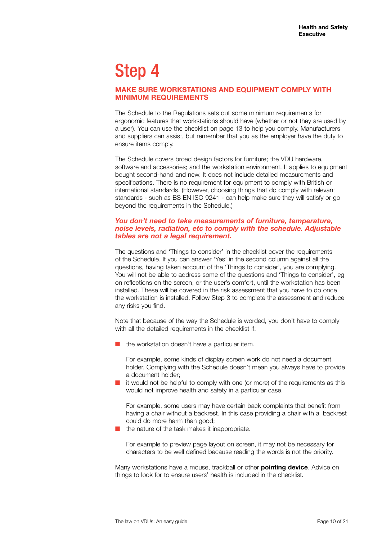# Step 4

### **MAKE SURE WORKSTATIONS AND EQUIPMENT COMPLY WITH MINIMUM REQUIREMENTS**

The Schedule to the Regulations sets out some minimum requirements for ergonomic features that workstations should have (whether or not they are used by a user). You can use the checklist on page 13 to help you comply. Manufacturers and suppliers can assist, but remember that you as the employer have the duty to ensure items comply.

The Schedule covers broad design factors for furniture; the VDU hardware, software and accessories; and the workstation environment. It applies to equipment bought second-hand and new. It does not include detailed measurements and specifications. There is no requirement for equipment to comply with British or international standards. (However, choosing things that do comply with relevant standards - such as BS EN ISO 9241 - can help make sure they will satisfy or go beyond the requirements in the Schedule.)

### *You don't need to take measurements of furniture, temperature, noise levels, radiation, etc to comply with the schedule. Adjustable tables are not a legal requirement.*

The questions and 'Things to consider' in the checklist cover the requirements of the Schedule. If you can answer 'Yes' in the second column against all the questions, having taken account of the 'Things to consider', you are complying. You will not be able to address some of the questions and 'Things to consider', eg on reflections on the screen, or the user's comfort, until the workstation has been installed. These will be covered in the risk assessment that you have to do once the workstation is installed. Follow Step 3 to complete the assessment and reduce any risks you find.

Note that because of the way the Schedule is worded, you don't have to comply with all the detailed requirements in the checklist if:

the workstation doesn't have a particular item.

For example, some kinds of display screen work do not need a document holder. Complying with the Schedule doesn't mean you always have to provide a document holder;

it would not be helpful to comply with one (or more) of the requirements as this would not improve health and safety in a particular case.

For example, some users may have certain back complaints that benefit from having a chair without a backrest. In this case providing a chair with a backrest could do more harm than good;

■ the nature of the task makes it inappropriate.

For example to preview page layout on screen, it may not be necessary for characters to be well defined because reading the words is not the priority.

Many workstations have a mouse, trackball or other **pointing device**. Advice on things to look for to ensure users' health is included in the checklist.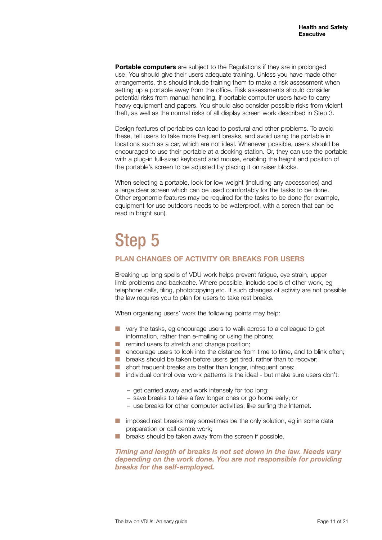**Portable computers** are subject to the Regulations if they are in prolonged use. You should give their users adequate training. Unless you have made other arrangements, this should include training them to make a risk assessment when setting up a portable away from the office. Risk assessments should consider potential risks from manual handling, if portable computer users have to carry heavy equipment and papers. You should also consider possible risks from violent theft, as well as the normal risks of all display screen work described in Step 3.

Design features of portables can lead to postural and other problems. To avoid these, tell users to take more frequent breaks, and avoid using the portable in locations such as a car, which are not ideal. Whenever possible, users should be encouraged to use their portable at a docking station. Or, they can use the portable with a plug-in full-sized keyboard and mouse, enabling the height and position of the portable's screen to be adjusted by placing it on raiser blocks.

When selecting a portable, look for low weight (including any accessories) and a large clear screen which can be used comfortably for the tasks to be done. Other ergonomic features may be required for the tasks to be done (for example, equipment for use outdoors needs to be waterproof, with a screen that can be read in bright sun).

# Step 5

### **PLAN CHANGES OF ACTIVITY OR BREAKS FOR USERS**

Breaking up long spells of VDU work helps prevent fatigue, eye strain, upper limb problems and backache. Where possible, include spells of other work, eg telephone calls, filing, photocopying etc. If such changes of activity are not possible the law requires you to plan for users to take rest breaks.

When organising users' work the following points may help:

- vary the tasks, eg encourage users to walk across to a colleague to get information, rather than e-mailing or using the phone;
- remind users to stretch and change position;
- encourage users to look into the distance from time to time, and to blink often;
- breaks should be taken before users get tired, rather than to recover;
- short frequent breaks are better than longer, infrequent ones:
- individual control over work patterns is the ideal but make sure users don't:
	- get carried away and work intensely for too long;
	- save breaks to take a few longer ones or go home early; or
	- use breaks for other computer activities, like surfing the Internet.
- imposed rest breaks may sometimes be the only solution, eg in some data preparation or call centre work;
- breaks should be taken away from the screen if possible.

*Timing and length of breaks is not set down in the law. Needs vary depending on the work done. You are not responsible for providing breaks for the self-employed.*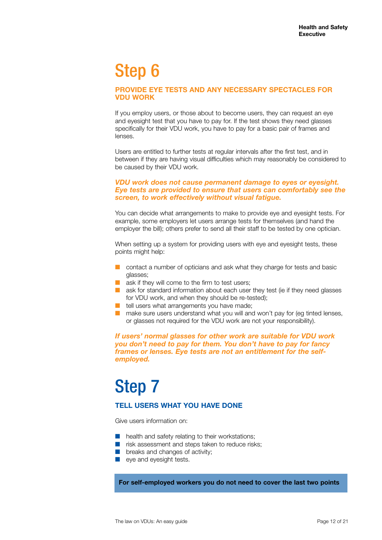# Step 6

### **PROVIDE EYE TESTS AND ANY NECESSARY SPECTACLES FOR VDU WORK**

If you employ users, or those about to become users, they can request an eye and eyesight test that you have to pay for. If the test shows they need glasses specifically for their VDU work, you have to pay for a basic pair of frames and lenses.

Users are entitled to further tests at regular intervals after the first test, and in between if they are having visual difficulties which may reasonably be considered to be caused by their VDU work.

#### *VDU work does not cause permanent damage to eyes or eyesight. Eye tests are provided to ensure that users can comfortably see the screen, to work effectively without visual fatigue.*

You can decide what arrangements to make to provide eye and eyesight tests. For example, some employers let users arrange tests for themselves (and hand the employer the bill); others prefer to send all their staff to be tested by one optician.

When setting up a system for providing users with eye and eyesight tests, these points might help:

- contact a number of opticians and ask what they charge for tests and basic glasses;
- ask if they will come to the firm to test users;
- ask for standard information about each user they test (ie if they need glasses for VDU work, and when they should be re-tested);
- tell users what arrangements you have made:
- make sure users understand what you will and won't pay for (eg tinted lenses, or glasses not required for the VDU work are not your responsibility).

*If users' normal glasses for other work are suitable for VDU work you don't need to pay for them. You don't have to pay for fancy frames or lenses. Eye tests are not an entitlement for the selfemployed.*

# Step 7

## **TELL USERS WHAT YOU HAVE DONE**

Give users information on:

- health and safety relating to their workstations;
- risk assessment and steps taken to reduce risks;
- breaks and changes of activity:
- eye and eyesight tests.

**For self-employed workers you do not need to cover the last two points**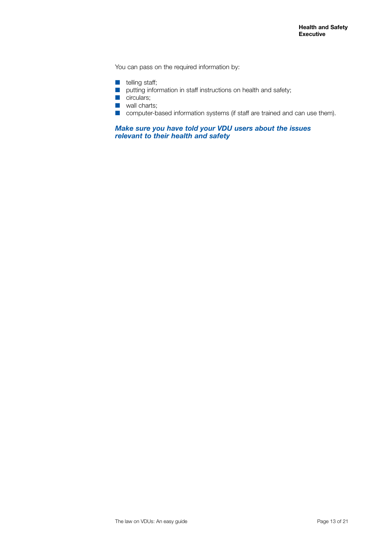You can pass on the required information by:

- telling staff;
- putting information in staff instructions on health and safety;
- circulars;
- wall charts;
- computer-based information systems (if staff are trained and can use them).

*Make sure you have told your VDU users about the issues relevant to their health and safety*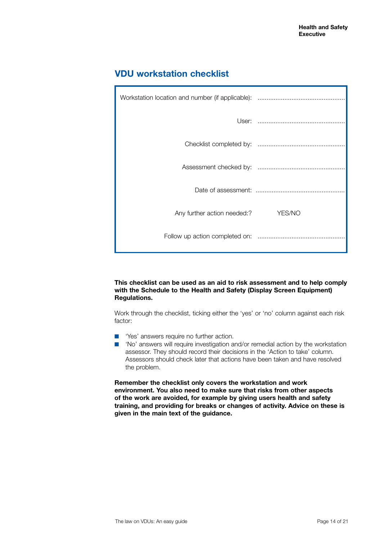# **VDU workstation checklist**

| Any further action needed:? | YES/NO |
|-----------------------------|--------|
|                             |        |

#### **This checklist can be used as an aid to risk assessment and to help comply with the Schedule to the Health and Safety (Display Screen Equipment) Regulations.**

Work through the checklist, ticking either the 'yes' or 'no' column against each risk factor:

- **n** 'Yes' answers require no further action.
- 'No' answers will require investigation and/or remedial action by the workstation assessor. They should record their decisions in the 'Action to take' column. Assessors should check later that actions have been taken and have resolved the problem.

**Remember the checklist only covers the workstation and work environment. You also need to make sure that risks from other aspects of the work are avoided, for example by giving users health and safety training, and providing for breaks or changes of activity. Advice on these is given in the main text of the guidance.**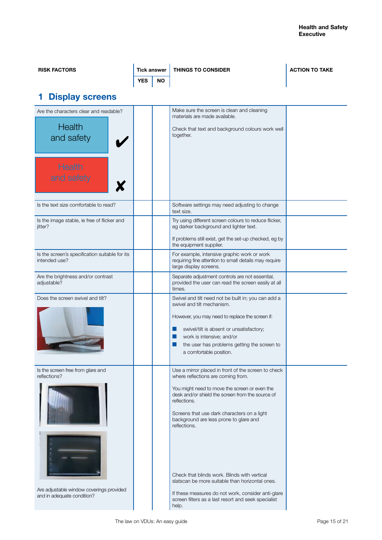# **RISK FACTORS TICK ANSWER THINGS TO CONSIDER ACTION TO TAKE YES NO 1 Display screens** Are the characters clear and readable? Make sure the screen is clean and cleaning materials are made available. Check that text and background colours work well together.  $\checkmark$ X **Health** and safety

| Is the text size comfortable to read?                                  | Software settings may need adjusting to change<br>text size.                                                                                                                                                                                                                                                                                                            |  |
|------------------------------------------------------------------------|-------------------------------------------------------------------------------------------------------------------------------------------------------------------------------------------------------------------------------------------------------------------------------------------------------------------------------------------------------------------------|--|
| Is the image stable, ie free of flicker and<br>iitter?                 | Try using different screen colours to reduce flicker,<br>eg darker background and lighter text.<br>If problems still exist, get the set-up checked, eg by<br>the equipment supplier.                                                                                                                                                                                    |  |
| Is the screen's specification suitable for its<br>intended use?        | For example, intensive graphic work or work<br>requiring fine attention to small details may require<br>large display screens.                                                                                                                                                                                                                                          |  |
| Are the brightness and/or contrast<br>adjustable?                      | Separate adjustment controls are not essential,<br>provided the user can read the screen easily at all<br>times.                                                                                                                                                                                                                                                        |  |
| Does the screen swivel and tilt?                                       | Swivel and tilt need not be built in; you can add a<br>swivel and tilt mechanism.<br>However, you may need to replace the screen if:<br>swivel/tilt is absent or unsatisfactory;<br>work is intensive; and/or<br>ш<br>the user has problems getting the screen to<br>m.<br>a comfortable position.                                                                      |  |
| Is the screen free from glare and<br>reflections?                      | Use a mirror placed in front of the screen to check<br>where reflections are coming from.<br>You might need to move the screen or even the<br>desk and/or shield the screen from the source of<br>reflections.<br>Screens that use dark characters on a light<br>background are less prone to glare and<br>reflections.<br>Check that blinds work. Blinds with vertical |  |
| Are adjustable window coverings provided<br>and in adequate condition? | slatscan be more suitable than horizontal ones.<br>If these measures do not work, consider anti-glare<br>screen filters as a last resort and seek specialist<br>help.                                                                                                                                                                                                   |  |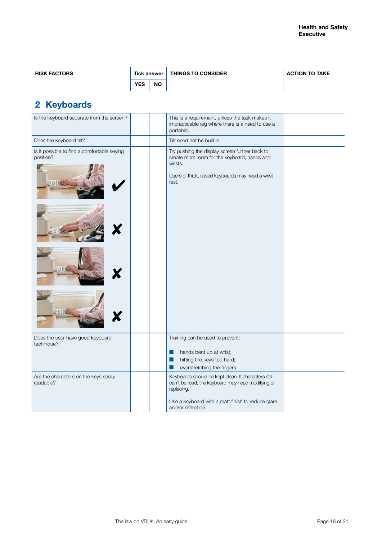| <b>RISK FACTORS</b> |            |           | Tick answer   THINGS TO CONSIDER | <b>ACTION TO TAKE</b> |
|---------------------|------------|-----------|----------------------------------|-----------------------|
|                     | <b>YES</b> | <b>NO</b> |                                  |                       |

# **2 Keyboards**

| Is the keyboard separate from the screen?                | This is a requirement, unless the task makes it<br>impracticable (eg where there is a need to use a<br>portable).                                                                                 |  |
|----------------------------------------------------------|---------------------------------------------------------------------------------------------------------------------------------------------------------------------------------------------------|--|
| Does the keyboard tilt?                                  | Tilt need not be built in.                                                                                                                                                                        |  |
| Is it possible to find a comfortable keying<br>position? | Try pushing the display screen further back to<br>create more room for the keyboard, hands and<br>wrists.<br>Users of thick, raised keyboards may need a wrist<br>rest.                           |  |
|                                                          |                                                                                                                                                                                                   |  |
|                                                          |                                                                                                                                                                                                   |  |
|                                                          |                                                                                                                                                                                                   |  |
| Does the user have good keyboard<br>technique?           | Training can be used to prevent:<br>hands bent up at wrist;<br>ш<br>hitting the keys too hard;<br>overstretching the fingers.                                                                     |  |
| Are the characters on the keys easily<br>readable?       | Keyboards should be kept clean. If characters still<br>can't be read, the keyboard may need modifying or<br>replacing.<br>Use a keyboard with a matt finish to reduce glare<br>and/or reflection. |  |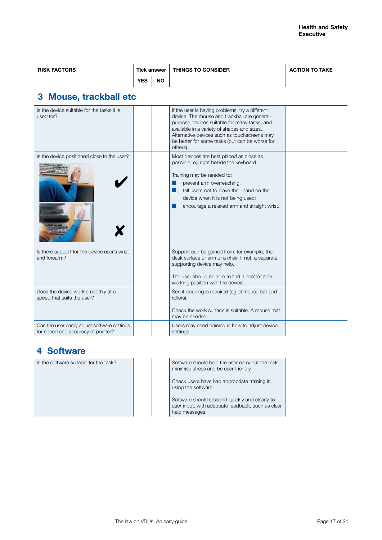**YES NO**

#### **RISK FACTORS Tick answer THINGS TO CONSIDER ACTION TO TAKE**

# **3 Mouse, trackball etc**

| Is the device suitable for the tasks it is<br>used for?                            |  | If the user is having problems, try a different<br>device. The mouse and trackball are general-<br>purpose devices suitable for many tasks, and<br>available in a variety of shapes and sizes.<br>Alternative devices such as touchscreens may<br>be better for some tasks (but can be worse for<br>others). |  |
|------------------------------------------------------------------------------------|--|--------------------------------------------------------------------------------------------------------------------------------------------------------------------------------------------------------------------------------------------------------------------------------------------------------------|--|
| Is the device positioned close to the user?                                        |  | Most devices are best placed as close as<br>possible, eg right beside the keyboard.<br>Training may be needed to:<br>prevent arm overreaching;<br>tell users not to leave their hand on the<br>device when it is not being used;<br>encourage a relaxed arm and straight wrist.                              |  |
| Is there support for the device user's wrist<br>and forearm?                       |  | Support can be gained from, for example, the<br>desk surface or arm of a chair. If not, a separate<br>supporting device may help.<br>The user should be able to find a comfortable<br>working position with the device.                                                                                      |  |
| Does the device work smoothly at a<br>speed that suits the user?                   |  | See if cleaning is required (eg of mouse ball and<br>rollers).<br>Check the work surface is suitable. A mouse mat<br>may be needed.                                                                                                                                                                          |  |
| Can the user easily adjust software settings<br>for speed and accuracy of pointer? |  | Users may need training in how to adjust device<br>settings.                                                                                                                                                                                                                                                 |  |

# **4 Software**

Is the software suitable for the task?  $\vert$  Software should help the user carry out the task , minimise stress and be user-friendly. Check users have had appropriate training in using the software. Software should respond quickly and clearly to user input, with adequate feedback, such as clear help messages.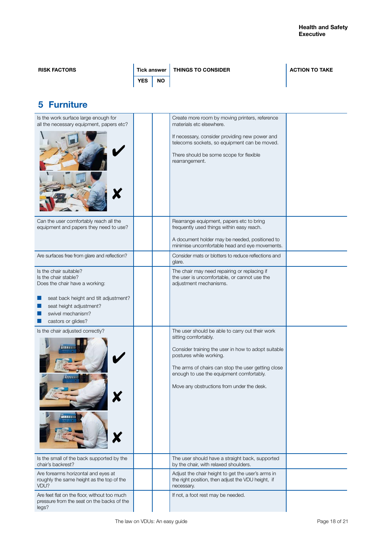**YES NO**

## **RISK FACTORS Tick answer THINGS TO CONSIDER ACTION TO TAKE**

# **5 Furniture**

| Is the work surface large enough for<br>all the necessary equipment, papers etc?                                                                                                                | Create more room by moving printers, reference<br>materials etc elsewhere.<br>If necessary, consider providing new power and<br>telecoms sockets, so equipment can be moved.<br>There should be some scope for flexible<br>rearrangement.                                                                 |  |
|-------------------------------------------------------------------------------------------------------------------------------------------------------------------------------------------------|-----------------------------------------------------------------------------------------------------------------------------------------------------------------------------------------------------------------------------------------------------------------------------------------------------------|--|
| Can the user comfortably reach all the<br>equipment and papers they need to use?                                                                                                                | Rearrange equipment, papers etc to bring<br>frequently used things within easy reach.<br>A document holder may be needed, positioned to<br>minimise uncomfortable head and eye movements.                                                                                                                 |  |
| Are surfaces free from glare and reflection?                                                                                                                                                    | Consider mats or blotters to reduce reflections and<br>glare.                                                                                                                                                                                                                                             |  |
| Is the chair suitable?<br>Is the chair stable?<br>Does the chair have a working:<br>seat back height and tilt adjustment?<br>seat height adjustment?<br>swivel mechanism?<br>castors or glides? | The chair may need repairing or replacing if<br>the user is uncomfortable, or cannot use the<br>adjustment mechanisms.                                                                                                                                                                                    |  |
| Is the chair adjusted correctly?<br><b>BEETHER</b>                                                                                                                                              | The user should be able to carry out their work<br>sitting comfortably.<br>Consider training the user in how to adopt suitable<br>postures while working.<br>The arms of chairs can stop the user getting close<br>enough to use the equipment comfortably.<br>Move any obstructions from under the desk. |  |
| Is the small of the back supported by the<br>chair's backrest?                                                                                                                                  | The user should have a straight back, supported<br>by the chair, with relaxed shoulders.                                                                                                                                                                                                                  |  |
| Are forearms horizontal and eyes at<br>roughly the same height as the top of the<br>VDU?                                                                                                        | Adjust the chair height to get the user's arms in<br>the right position, then adjust the VDU height, if<br>necessary.                                                                                                                                                                                     |  |
| Are feet flat on the floor, without too much<br>pressure from the seat on the backs of the<br>legs?                                                                                             | If not, a foot rest may be needed.                                                                                                                                                                                                                                                                        |  |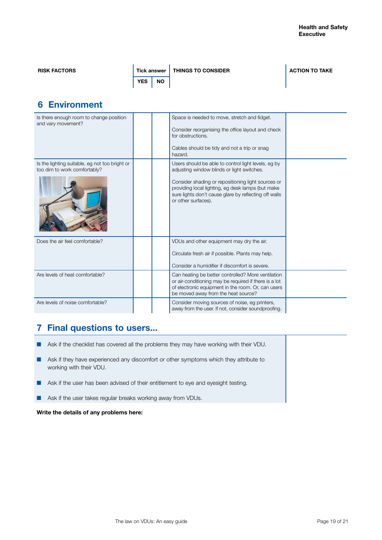**YES NO**

**RISK FACTORS Tick answer THINGS TO CONSIDER ACTION TO TAKE** 

# **6 Environment**

| Is there enough room to change position<br>and vary movement?                  | Space is needed to move, stretch and fidget.<br>Consider reorganising the office layout and check<br>for obstructions.<br>Cables should be tidy and not a trip or snag<br>hazard.                        |  |
|--------------------------------------------------------------------------------|----------------------------------------------------------------------------------------------------------------------------------------------------------------------------------------------------------|--|
| Is the lighting suitable, eg not too bright or<br>too dim to work comfortably? | Users should be able to control light levels, eg by<br>adjusting window blinds or light switches.                                                                                                        |  |
|                                                                                | Consider shading or repositioning light sources or<br>providing local lighting, eg desk lamps (but make<br>sure lights don't cause glare by reflecting off walls<br>or other surfaces).                  |  |
| Does the air feel comfortable?                                                 | VDUs and other equipment may dry the air.                                                                                                                                                                |  |
|                                                                                | Circulate fresh air if possible. Plants may help.                                                                                                                                                        |  |
|                                                                                | Consider a humidifier if discomfort is severe.                                                                                                                                                           |  |
| Are levels of heat comfortable?                                                | Can heating be better controlled? More ventilation<br>or air-conditioning may be required if there is a lot<br>of electronic equipment in the room. Or, can users<br>be moved away from the heat source? |  |
| Are levels of noise comfortable?                                               | Consider moving sources of noise, eg printers,<br>away from the user. If not, consider soundproofing.                                                                                                    |  |

# **7 Final questions to users...**

- Ask if the checklist has covered all the problems they may have working with their VDU.
- **n** Ask if they have experienced any discomfort or other symptoms which they attribute to working with their VDU.
- **n** Ask if the user has been advised of their entitlement to eye and eyesight testing.
- **n** Ask if the user takes regular breaks working away from VDUs.

#### **Write the details of any problems here:**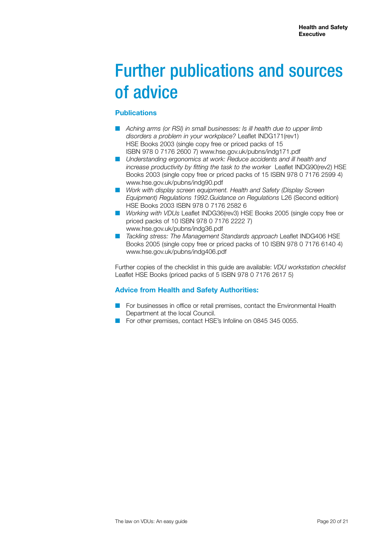# Further publications and sources of advice

## **Publications**

- Aching arms (or RSI) in small businesses: Is ill health due to upper limb *disorders a problem in your workplace?* Leaflet INDG171(rev1) HSE Books 2003 (single copy free or priced packs of 15 ISBN 978 0 7176 2600 7) www.hse.gov.uk/pubns/indg171.pdf
- *Understanding ergonomics at work: Reduce accidents and ill health and increase productivity by fitting the task to the worker* Leaflet INDG90(rev2) HSE Books 2003 (single copy free or priced packs of 15 ISBN 978 0 7176 2599 4) www.hse.gov.uk/pubns/indg90.pdf
- Work with display screen equipment. Health and Safety (Display Screen *Equipment) Regulations 1992.Guidance on Regulations* L26 (Second edition) HSE Books 2003 ISBN 978 0 7176 2582 6
- *Working with VDUs* Leaflet INDG36(rev3) HSE Books 2005 (single copy free or priced packs of 10 ISBN 978 0 7176 2222 7) www.hse.gov.uk/pubns/indg36.pdf
- *Tackling stress: The Management Standards approach Leaflet INDG406 HSE* Books 2005 (single copy free or priced packs of 10 ISBN 978 0 7176 6140 4) www.hse.gov.uk/pubns/indg406.pdf

Further copies of the checklist in this guide are available: *VDU workstation checklist*  Leaflet HSE Books (priced packs of 5 ISBN 978 0 7176 2617 5)

## **Advice from Health and Safety Authorities:**

- For businesses in office or retail premises, contact the Environmental Health Department at the local Council.
- For other premises, contact HSE's Infoline on 0845 345 0055.